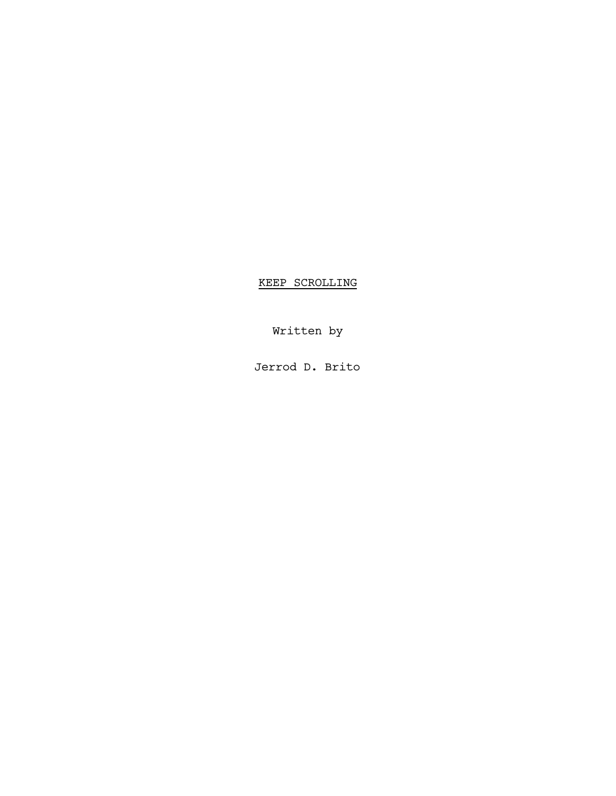KEEP SCROLLING

Written by

Jerrod D. Brito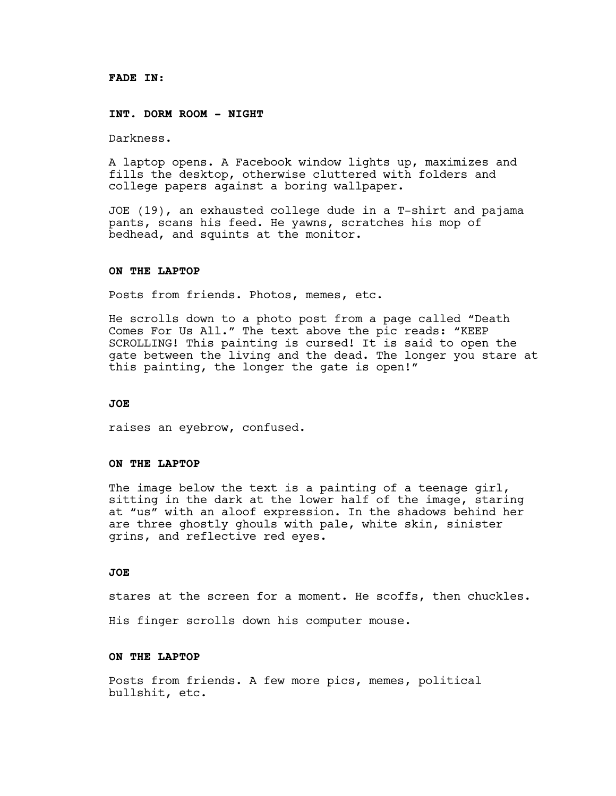### **FADE IN:**

#### **INT. DORM ROOM - NIGHT**

Darkness.

A laptop opens. A Facebook window lights up, maximizes and fills the desktop, otherwise cluttered with folders and college papers against a boring wallpaper.

JOE (19), an exhausted college dude in a T-shirt and pajama pants, scans his feed. He yawns, scratches his mop of bedhead, and squints at the monitor.

## **ON THE LAPTOP**

Posts from friends. Photos, memes, etc.

He scrolls down to a photo post from a page called "Death Comes For Us All." The text above the pic reads: "KEEP SCROLLING! This painting is cursed! It is said to open the gate between the living and the dead. The longer you stare at this painting, the longer the gate is open!"

### **JOE**

raises an eyebrow, confused.

# **ON THE LAPTOP**

The image below the text is a painting of a teenage girl, sitting in the dark at the lower half of the image, staring at "us" with an aloof expression. In the shadows behind her are three ghostly ghouls with pale, white skin, sinister grins, and reflective red eyes.

### **JOE**

stares at the screen for a moment. He scoffs, then chuckles.

His finger scrolls down his computer mouse.

#### **ON THE LAPTOP**

Posts from friends. A few more pics, memes, political bullshit, etc.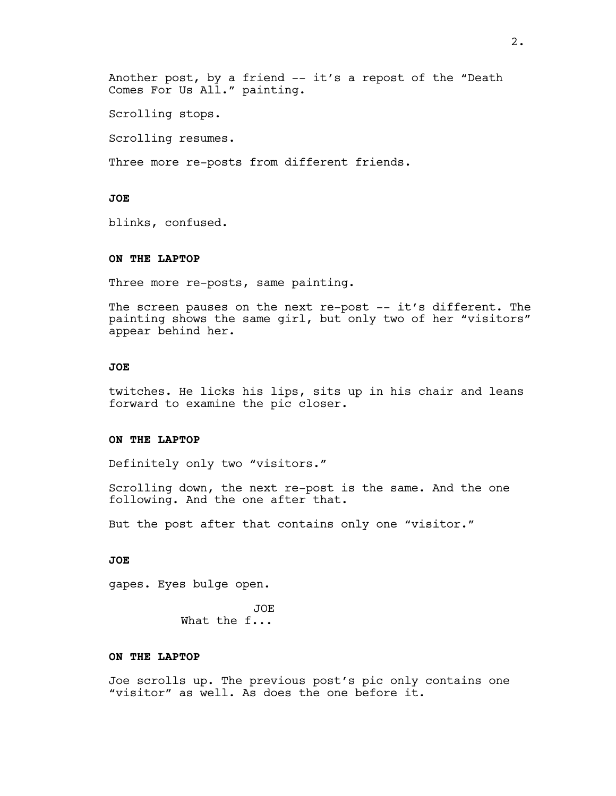Another post, by a friend -- it's a repost of the "Death Comes For Us All." painting.

Scrolling stops.

Scrolling resumes.

Three more re-posts from different friends.

# **JOE**

blinks, confused.

### **ON THE LAPTOP**

Three more re-posts, same painting.

The screen pauses on the next re-post -- it's different. The painting shows the same girl, but only two of her "visitors" appear behind her.

# **JOE**

twitches. He licks his lips, sits up in his chair and leans forward to examine the pic closer.

# **ON THE LAPTOP**

Definitely only two "visitors."

Scrolling down, the next re-post is the same. And the one following. And the one after that.

But the post after that contains only one "visitor."

### **JOE**

gapes. Eyes bulge open.

JOE What the f...

### **ON THE LAPTOP**

Joe scrolls up. The previous post's pic only contains one "visitor" as well. As does the one before it.